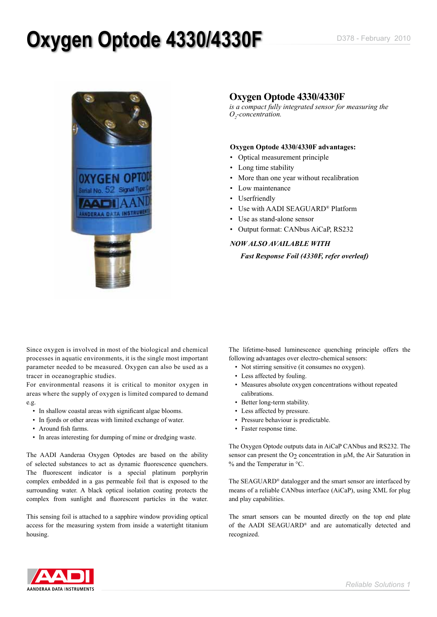## **Oxygen Optode 4330/4330F** D378 - February 2010



### **Oxygen Optode 4330/4330F**

*is a compact fully integrated sensor for measuring the O2 -concentration.* 

### **Oxygen Optode 4330/4330F advantages:**

- • Optical measurement principle
- Long time stability
- More than one year without recalibration
- Low maintenance
- Userfriendly
- Use with AADI SEAGUARD® Platform
- Use as stand-alone sensor
- Output format: CANbus AiCaP, RS232

### *NOW ALSO AVAILABLE WITH Fast Response Foil (4330F, refer overleaf)*

Since oxygen is involved in most of the biological and chemical processes in aquatic environments, it is the single most important parameter needed to be measured. Oxygen can also be used as a tracer in oceanographic studies.

For environmental reasons it is critical to monitor oxygen in areas where the supply of oxygen is limited compared to demand e.g.

- In shallow coastal areas with significant algae blooms.
- In fjords or other areas with limited exchange of water.
- • Around fish farms.
- In areas interesting for dumping of mine or dredging waste.

The AADI Aanderaa Oxygen Optodes are based on the ability of selected substances to act as dynamic fluorescence quenchers. The fluorescent indicator is a special platinum porphyrin complex embedded in a gas permeable foil that is exposed to the surrounding water. A black optical isolation coating protects the complex from sunlight and fluorescent particles in the water.

This sensing foil is attached to a sapphire window providing optical access for the measuring system from inside a watertight titanium housing.

The lifetime-based luminescence quenching principle offers the following advantages over electro-chemical sensors:

- • Not stirring sensitive (it consumes no oxygen).
- Less affected by fouling.
- Measures absolute oxygen concentrations without repeated calibrations.
- Better long-term stability.
- Less affected by pressure.
- Pressure behaviour is predictable.
- Faster response time.

The Oxygen Optode outputs data in AiCaP CANbus and RS232. The sensor can present the  $O<sub>2</sub>$  concentration in  $\mu$ M, the Air Saturation in % and the Temperatur in °C.

The SEAGUARD® datalogger and the smart sensor are interfaced by means of a reliable CANbus interface (AiCaP), using XML for plug and play capabilities.

The smart sensors can be mounted directly on the top end plate of the AADI SEAGUARD® and are automatically detected and recognized.